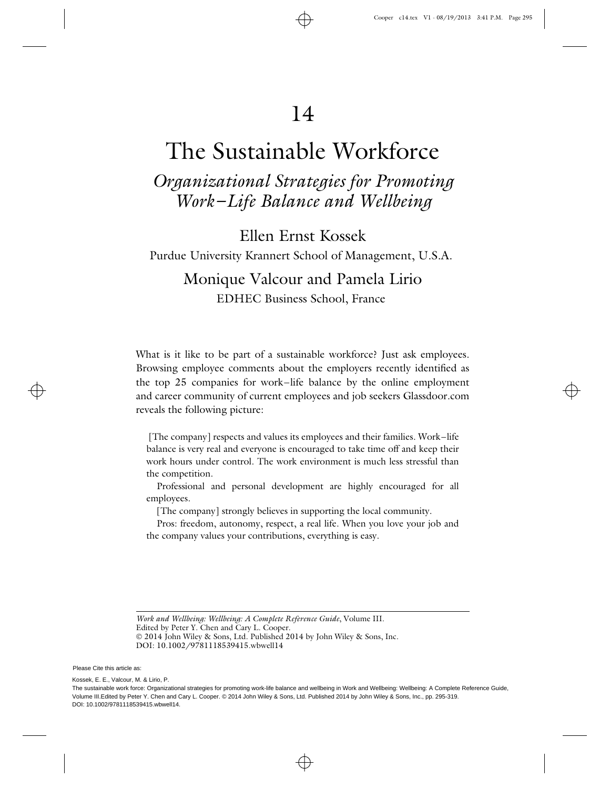# 14

# The Sustainable Workforce

*Organizational Strategies for Promoting Work–Life Balance and Wellbeing*

Ellen Ernst Kossek

Purdue University Krannert School of Management, U.S.A.

# Monique Valcour and Pamela Lirio EDHEC Business School, France

What is it like to be part of a sustainable workforce? Just ask employees. Browsing employee comments about the employers recently identified as the top 25 companies for work–life balance by the online employment and career community of current employees and job seekers Glassdoor.com reveals the following picture:

[The company] respects and values its employees and their families. Work–life balance is very real and everyone is encouraged to take time off and keep their work hours under control. The work environment is much less stressful than the competition.

Professional and personal development are highly encouraged for all employees.

[The company] strongly believes in supporting the local community.

Pros: freedom, autonomy, respect, a real life. When you love your job and the company values your contributions, everything is easy.

Edited by Peter Y. Chen and Cary L. Cooper.

*Work and Wellbeing: Wellbeing: A Complete Reference Guide*, Volume III.

<sup>©</sup> 2014 John Wiley & Sons, Ltd. Published 2014 by John Wiley & Sons, Inc. DOI: 10.1002/9781118539415.wbwell14

Please Cite this article as:

Kossek, E. E., Valcour, M. & Lirio, P.

The sustainable work force: Organizational strategies for promoting work-life balance and wellbeing in Work and Wellbeing: Wellbeing: A Complete Reference Guide, Volume III.Edited by Peter Y. Chen and Cary L. Cooper. © 2014 John Wiley & Sons, Ltd. Published 2014 by John Wiley & Sons, Inc., pp. 295-319. DOI: 10.1002/9781118539415.wbwell14.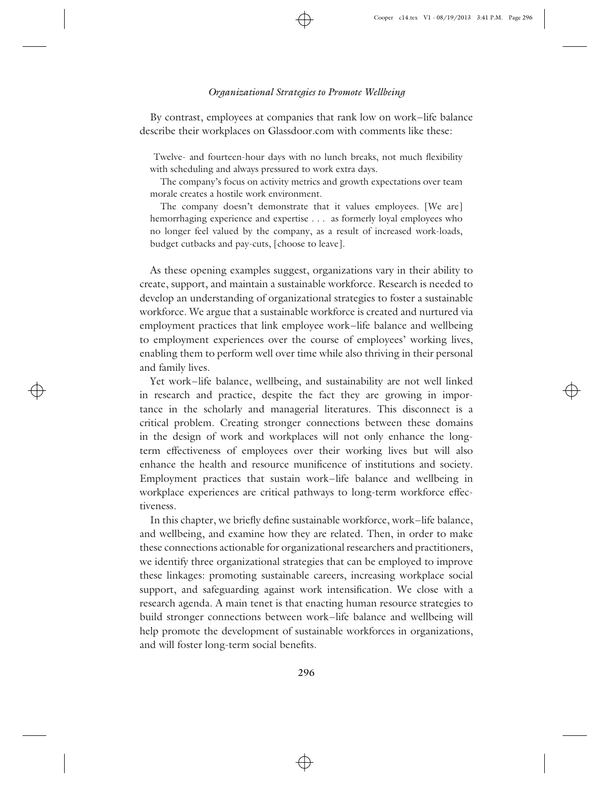By contrast, employees at companies that rank low on work–life balance describe their workplaces on Glassdoor.com with comments like these:

Twelve- and fourteen-hour days with no lunch breaks, not much flexibility with scheduling and always pressured to work extra days.

The company's focus on activity metrics and growth expectations over team morale creates a hostile work environment.

The company doesn't demonstrate that it values employees. [We are] hemorrhaging experience and expertise . . . as formerly loyal employees who no longer feel valued by the company, as a result of increased work-loads, budget cutbacks and pay-cuts, [choose to leave].

As these opening examples suggest, organizations vary in their ability to create, support, and maintain a sustainable workforce. Research is needed to develop an understanding of organizational strategies to foster a sustainable workforce. We argue that a sustainable workforce is created and nurtured via employment practices that link employee work–life balance and wellbeing to employment experiences over the course of employees' working lives, enabling them to perform well over time while also thriving in their personal and family lives.

Yet work–life balance, wellbeing, and sustainability are not well linked in research and practice, despite the fact they are growing in importance in the scholarly and managerial literatures. This disconnect is a critical problem. Creating stronger connections between these domains in the design of work and workplaces will not only enhance the longterm effectiveness of employees over their working lives but will also enhance the health and resource munificence of institutions and society. Employment practices that sustain work–life balance and wellbeing in workplace experiences are critical pathways to long-term workforce effectiveness.

In this chapter, we briefly define sustainable workforce, work–life balance, and wellbeing, and examine how they are related. Then, in order to make these connections actionable for organizational researchers and practitioners, we identify three organizational strategies that can be employed to improve these linkages: promoting sustainable careers, increasing workplace social support, and safeguarding against work intensification. We close with a research agenda. A main tenet is that enacting human resource strategies to build stronger connections between work–life balance and wellbeing will help promote the development of sustainable workforces in organizations, and will foster long-term social benefits.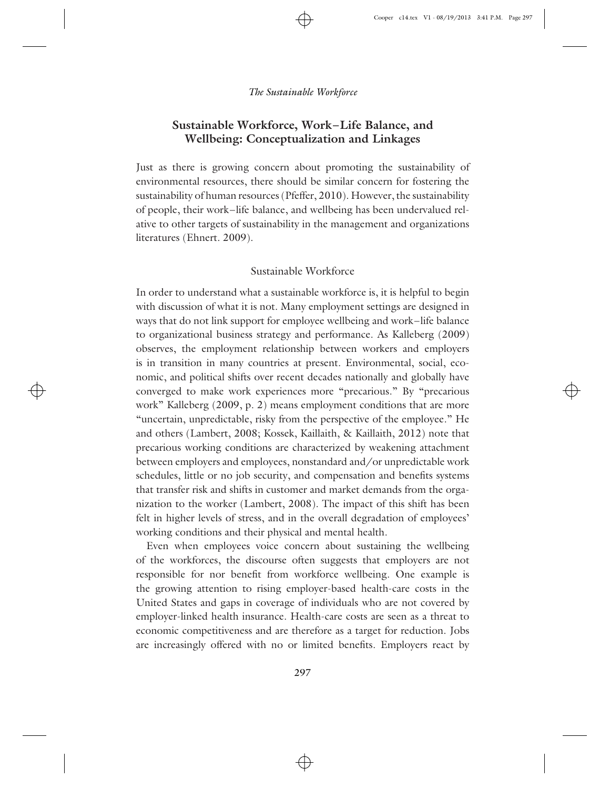# **Sustainable Workforce, Work–Life Balance, and Wellbeing: Conceptualization and Linkages**

Just as there is growing concern about promoting the sustainability of environmental resources, there should be similar concern for fostering the sustainability of human resources (Pfeffer, 2010). However, the sustainability of people, their work–life balance, and wellbeing has been undervalued relative to other targets of sustainability in the management and organizations literatures (Ehnert. 2009).

### Sustainable Workforce

In order to understand what a sustainable workforce is, it is helpful to begin with discussion of what it is not. Many employment settings are designed in ways that do not link support for employee wellbeing and work–life balance to organizational business strategy and performance. As Kalleberg (2009) observes, the employment relationship between workers and employers is in transition in many countries at present. Environmental, social, economic, and political shifts over recent decades nationally and globally have converged to make work experiences more "precarious." By "precarious work" Kalleberg (2009, p. 2) means employment conditions that are more "uncertain, unpredictable, risky from the perspective of the employee." He and others (Lambert, 2008; Kossek, Kaillaith, & Kaillaith, 2012) note that precarious working conditions are characterized by weakening attachment between employers and employees, nonstandard and/or unpredictable work schedules, little or no job security, and compensation and benefits systems that transfer risk and shifts in customer and market demands from the organization to the worker (Lambert, 2008). The impact of this shift has been felt in higher levels of stress, and in the overall degradation of employees' working conditions and their physical and mental health.

Even when employees voice concern about sustaining the wellbeing of the workforces, the discourse often suggests that employers are not responsible for nor benefit from workforce wellbeing. One example is the growing attention to rising employer-based health-care costs in the United States and gaps in coverage of individuals who are not covered by employer-linked health insurance. Health-care costs are seen as a threat to economic competitiveness and are therefore as a target for reduction. Jobs are increasingly offered with no or limited benefits. Employers react by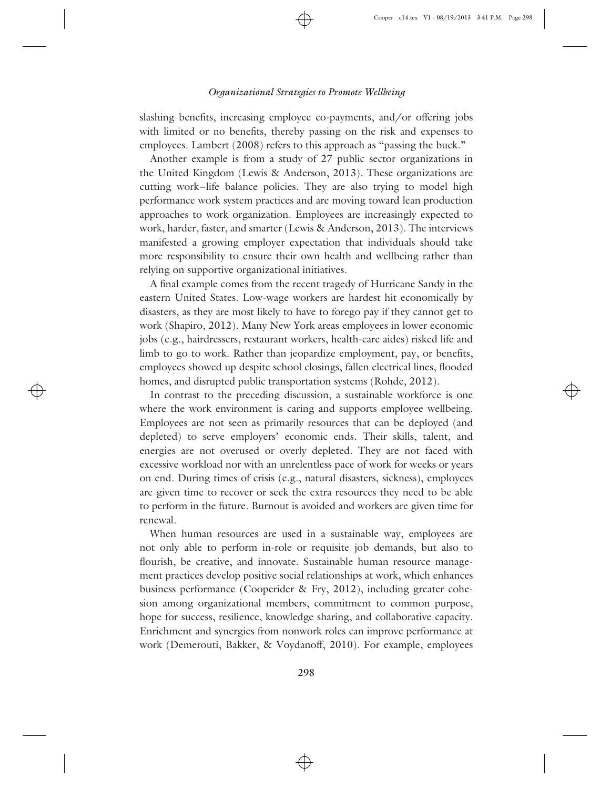slashing benefits, increasing employee co-payments, and/or offering jobs with limited or no benefits, thereby passing on the risk and expenses to employees. Lambert (2008) refers to this approach as "passing the buck."

Another example is from a study of 27 public sector organizations in the United Kingdom (Lewis & Anderson, 2013). These organizations are cutting work–life balance policies. They are also trying to model high performance work system practices and are moving toward lean production approaches to work organization. Employees are increasingly expected to work, harder, faster, and smarter (Lewis & Anderson, 2013). The interviews manifested a growing employer expectation that individuals should take more responsibility to ensure their own health and wellbeing rather than relying on supportive organizational initiatives.

A final example comes from the recent tragedy of Hurricane Sandy in the eastern United States. Low-wage workers are hardest hit economically by disasters, as they are most likely to have to forego pay if they cannot get to work (Shapiro, 2012). Many New York areas employees in lower economic jobs (e.g., hairdressers, restaurant workers, health-care aides) risked life and limb to go to work. Rather than jeopardize employment, pay, or benefits, employees showed up despite school closings, fallen electrical lines, flooded homes, and disrupted public transportation systems (Rohde, 2012).

In contrast to the preceding discussion, a sustainable workforce is one where the work environment is caring and supports employee wellbeing. Employees are not seen as primarily resources that can be deployed (and depleted) to serve employers' economic ends. Their skills, talent, and energies are not overused or overly depleted. They are not faced with excessive workload nor with an unrelentless pace of work for weeks or years on end. During times of crisis (e.g., natural disasters, sickness), employees are given time to recover or seek the extra resources they need to be able to perform in the future. Burnout is avoided and workers are given time for renewal.

When human resources are used in a sustainable way, employees are not only able to perform in-role or requisite job demands, but also to flourish, be creative, and innovate. Sustainable human resource management practices develop positive social relationships at work, which enhances business performance (Cooperider & Fry, 2012), including greater cohesion among organizational members, commitment to common purpose, hope for success, resilience, knowledge sharing, and collaborative capacity. Enrichment and synergies from nonwork roles can improve performance at work (Demerouti, Bakker, & Voydanoff, 2010). For example, employees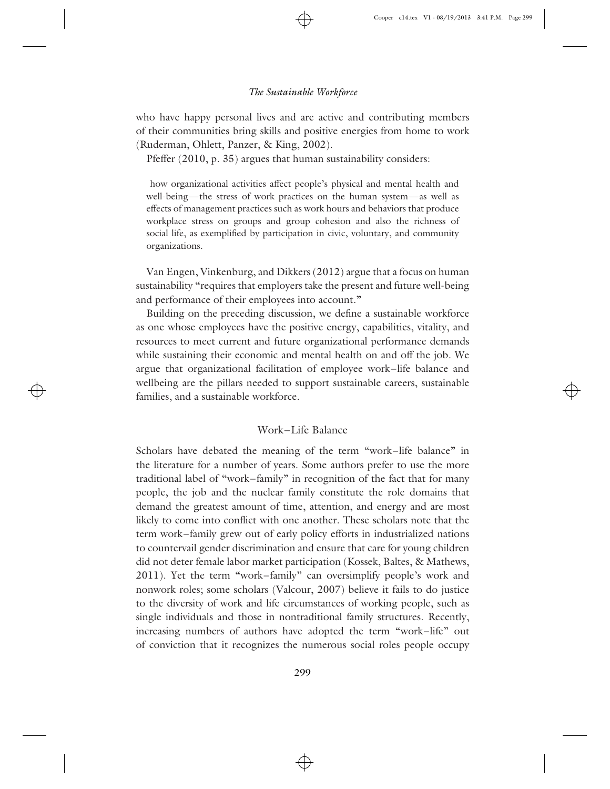who have happy personal lives and are active and contributing members of their communities bring skills and positive energies from home to work (Ruderman, Ohlett, Panzer, & King, 2002).

Pfeffer (2010, p. 35) argues that human sustainability considers:

how organizational activities affect people's physical and mental health and well-being— the stress of work practices on the human system—as well as effects of management practices such as work hours and behaviors that produce workplace stress on groups and group cohesion and also the richness of social life, as exemplified by participation in civic, voluntary, and community organizations.

Van Engen, Vinkenburg, and Dikkers (2012) argue that a focus on human sustainability "requires that employers take the present and future well-being and performance of their employees into account."

Building on the preceding discussion, we define a sustainable workforce as one whose employees have the positive energy, capabilities, vitality, and resources to meet current and future organizational performance demands while sustaining their economic and mental health on and off the job. We argue that organizational facilitation of employee work–life balance and wellbeing are the pillars needed to support sustainable careers, sustainable families, and a sustainable workforce.

### Work–Life Balance

Scholars have debated the meaning of the term "work–life balance" in the literature for a number of years. Some authors prefer to use the more traditional label of "work– family" in recognition of the fact that for many people, the job and the nuclear family constitute the role domains that demand the greatest amount of time, attention, and energy and are most likely to come into conflict with one another. These scholars note that the term work– family grew out of early policy efforts in industrialized nations to countervail gender discrimination and ensure that care for young children did not deter female labor market participation (Kossek, Baltes, & Mathews, 2011). Yet the term "work-family" can oversimplify people's work and nonwork roles; some scholars (Valcour, 2007) believe it fails to do justice to the diversity of work and life circumstances of working people, such as single individuals and those in nontraditional family structures. Recently, increasing numbers of authors have adopted the term "work–life" out of conviction that it recognizes the numerous social roles people occupy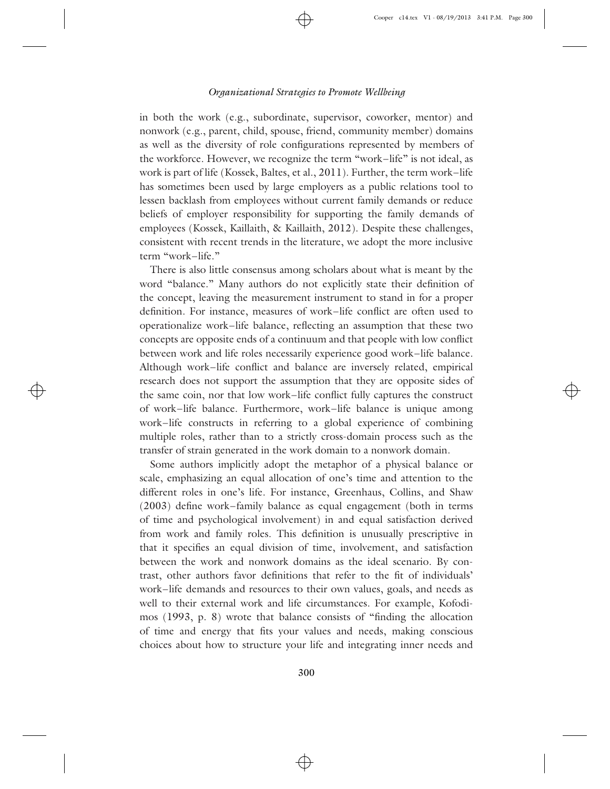in both the work (e.g., subordinate, supervisor, coworker, mentor) and nonwork (e.g., parent, child, spouse, friend, community member) domains as well as the diversity of role configurations represented by members of the workforce. However, we recognize the term "work–life" is not ideal, as work is part of life (Kossek, Baltes, et al., 2011). Further, the term work–life has sometimes been used by large employers as a public relations tool to lessen backlash from employees without current family demands or reduce beliefs of employer responsibility for supporting the family demands of employees (Kossek, Kaillaith, & Kaillaith, 2012). Despite these challenges, consistent with recent trends in the literature, we adopt the more inclusive term "work–life."

There is also little consensus among scholars about what is meant by the word "balance." Many authors do not explicitly state their definition of the concept, leaving the measurement instrument to stand in for a proper definition. For instance, measures of work–life conflict are often used to operationalize work–life balance, reflecting an assumption that these two concepts are opposite ends of a continuum and that people with low conflict between work and life roles necessarily experience good work–life balance. Although work–life conflict and balance are inversely related, empirical research does not support the assumption that they are opposite sides of the same coin, nor that low work–life conflict fully captures the construct of work–life balance. Furthermore, work–life balance is unique among work–life constructs in referring to a global experience of combining multiple roles, rather than to a strictly cross-domain process such as the transfer of strain generated in the work domain to a nonwork domain.

Some authors implicitly adopt the metaphor of a physical balance or scale, emphasizing an equal allocation of one's time and attention to the different roles in one's life. For instance, Greenhaus, Collins, and Shaw (2003) define work–family balance as equal engagement (both in terms of time and psychological involvement) in and equal satisfaction derived from work and family roles. This definition is unusually prescriptive in that it specifies an equal division of time, involvement, and satisfaction between the work and nonwork domains as the ideal scenario. By contrast, other authors favor definitions that refer to the fit of individuals' work–life demands and resources to their own values, goals, and needs as well to their external work and life circumstances. For example, Kofodimos (1993, p. 8) wrote that balance consists of "finding the allocation of time and energy that fits your values and needs, making conscious choices about how to structure your life and integrating inner needs and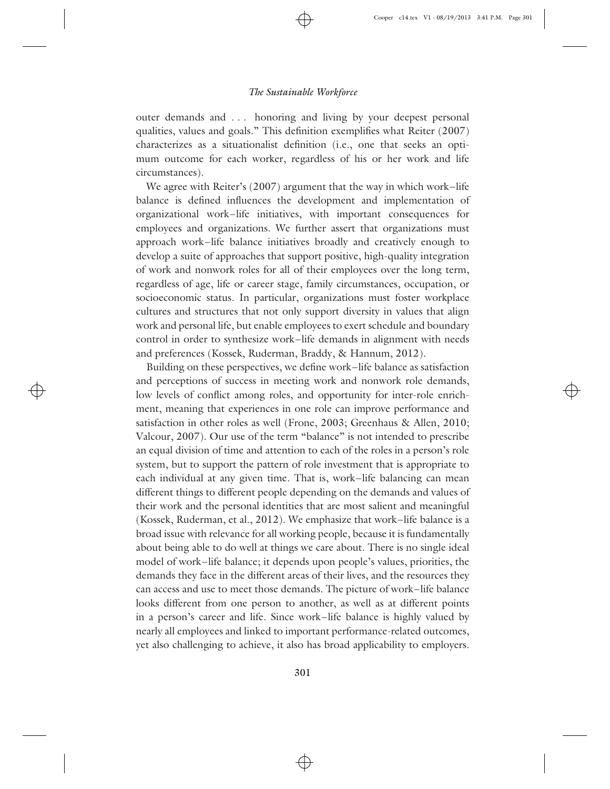outer demands and . . . honoring and living by your deepest personal qualities, values and goals." This definition exemplifies what Reiter (2007) characterizes as a situationalist definition (i.e., one that seeks an optimum outcome for each worker, regardless of his or her work and life circumstances).

We agree with Reiter's (2007) argument that the way in which work–life balance is defined influences the development and implementation of organizational work–life initiatives, with important consequences for employees and organizations. We further assert that organizations must approach work–life balance initiatives broadly and creatively enough to develop a suite of approaches that support positive, high-quality integration of work and nonwork roles for all of their employees over the long term, regardless of age, life or career stage, family circumstances, occupation, or socioeconomic status. In particular, organizations must foster workplace cultures and structures that not only support diversity in values that align work and personal life, but enable employees to exert schedule and boundary control in order to synthesize work–life demands in alignment with needs and preferences (Kossek, Ruderman, Braddy, & Hannum, 2012).

Building on these perspectives, we define work–life balance as satisfaction and perceptions of success in meeting work and nonwork role demands, low levels of conflict among roles, and opportunity for inter-role enrichment, meaning that experiences in one role can improve performance and satisfaction in other roles as well (Frone, 2003; Greenhaus & Allen, 2010; Valcour, 2007). Our use of the term "balance" is not intended to prescribe an equal division of time and attention to each of the roles in a person's role system, but to support the pattern of role investment that is appropriate to each individual at any given time. That is, work–life balancing can mean different things to different people depending on the demands and values of their work and the personal identities that are most salient and meaningful (Kossek, Ruderman, et al., 2012). We emphasize that work–life balance is a broad issue with relevance for all working people, because it is fundamentally about being able to do well at things we care about. There is no single ideal model of work–life balance; it depends upon people's values, priorities, the demands they face in the different areas of their lives, and the resources they can access and use to meet those demands. The picture of work–life balance looks different from one person to another, as well as at different points in a person's career and life. Since work–life balance is highly valued by nearly all employees and linked to important performance-related outcomes, yet also challenging to achieve, it also has broad applicability to employers.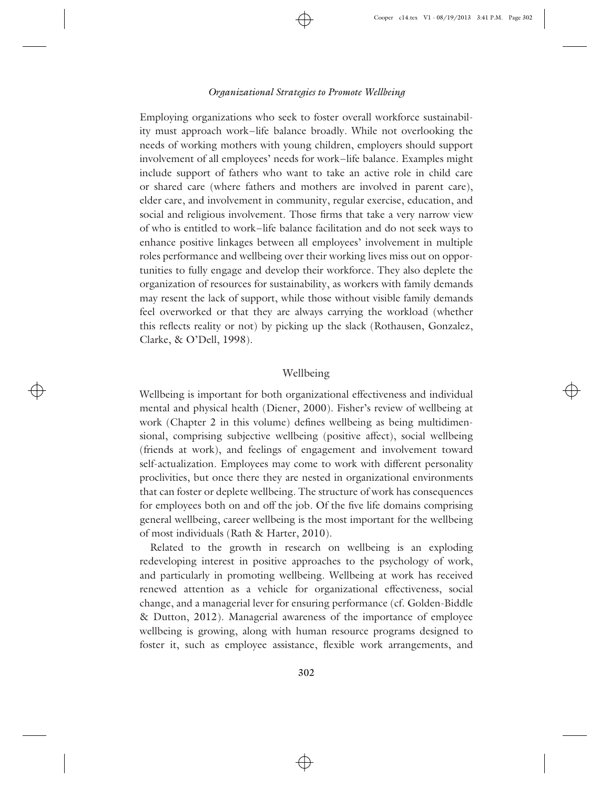Employing organizations who seek to foster overall workforce sustainability must approach work–life balance broadly. While not overlooking the needs of working mothers with young children, employers should support involvement of all employees' needs for work–life balance. Examples might include support of fathers who want to take an active role in child care or shared care (where fathers and mothers are involved in parent care), elder care, and involvement in community, regular exercise, education, and social and religious involvement. Those firms that take a very narrow view of who is entitled to work–life balance facilitation and do not seek ways to enhance positive linkages between all employees' involvement in multiple roles performance and wellbeing over their working lives miss out on opportunities to fully engage and develop their workforce. They also deplete the organization of resources for sustainability, as workers with family demands may resent the lack of support, while those without visible family demands feel overworked or that they are always carrying the workload (whether this reflects reality or not) by picking up the slack (Rothausen, Gonzalez, Clarke, & O'Dell, 1998).

#### Wellbeing

Wellbeing is important for both organizational effectiveness and individual mental and physical health (Diener, 2000). Fisher's review of wellbeing at work (Chapter 2 in this volume) defines wellbeing as being multidimensional, comprising subjective wellbeing (positive affect), social wellbeing (friends at work), and feelings of engagement and involvement toward self-actualization. Employees may come to work with different personality proclivities, but once there they are nested in organizational environments that can foster or deplete wellbeing. The structure of work has consequences for employees both on and off the job. Of the five life domains comprising general wellbeing, career wellbeing is the most important for the wellbeing of most individuals (Rath & Harter, 2010).

Related to the growth in research on wellbeing is an exploding redeveloping interest in positive approaches to the psychology of work, and particularly in promoting wellbeing. Wellbeing at work has received renewed attention as a vehicle for organizational effectiveness, social change, and a managerial lever for ensuring performance (cf. Golden-Biddle & Dutton, 2012). Managerial awareness of the importance of employee wellbeing is growing, along with human resource programs designed to foster it, such as employee assistance, flexible work arrangements, and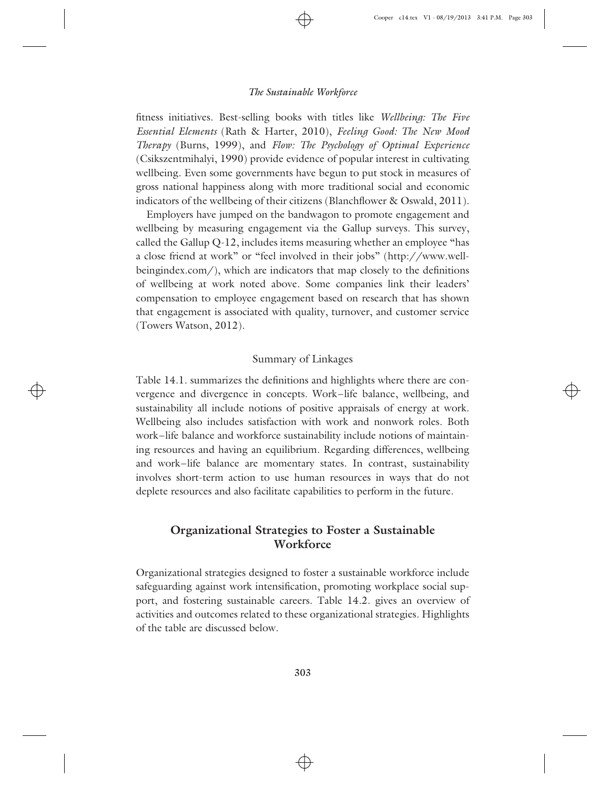fitness initiatives. Best-selling books with titles like *Wellbeing: The Five Essential Elements* (Rath & Harter, 2010), *Feeling Good: The New Mood Therapy* (Burns, 1999), and *Flow: The Psychology of Optimal Experience* (Csikszentmihalyi, 1990) provide evidence of popular interest in cultivating wellbeing. Even some governments have begun to put stock in measures of gross national happiness along with more traditional social and economic indicators of the wellbeing of their citizens (Blanchflower & Oswald, 2011).

Employers have jumped on the bandwagon to promote engagement and wellbeing by measuring engagement via the Gallup surveys. This survey, called the Gallup Q-12, includes items measuring whether an employee "has a close friend at work" or "feel involved in their jobs" (http://www.wellbeingindex.com/), which are indicators that map closely to the definitions of wellbeing at work noted above. Some companies link their leaders' compensation to employee engagement based on research that has shown that engagement is associated with quality, turnover, and customer service (Towers Watson, 2012).

#### Summary of Linkages

Table 14.1. summarizes the definitions and highlights where there are convergence and divergence in concepts. Work–life balance, wellbeing, and sustainability all include notions of positive appraisals of energy at work. Wellbeing also includes satisfaction with work and nonwork roles. Both work–life balance and workforce sustainability include notions of maintaining resources and having an equilibrium. Regarding differences, wellbeing and work–life balance are momentary states. In contrast, sustainability involves short-term action to use human resources in ways that do not deplete resources and also facilitate capabilities to perform in the future.

# **Organizational Strategies to Foster a Sustainable Workforce**

Organizational strategies designed to foster a sustainable workforce include safeguarding against work intensification, promoting workplace social support, and fostering sustainable careers. Table 14.2. gives an overview of activities and outcomes related to these organizational strategies. Highlights of the table are discussed below.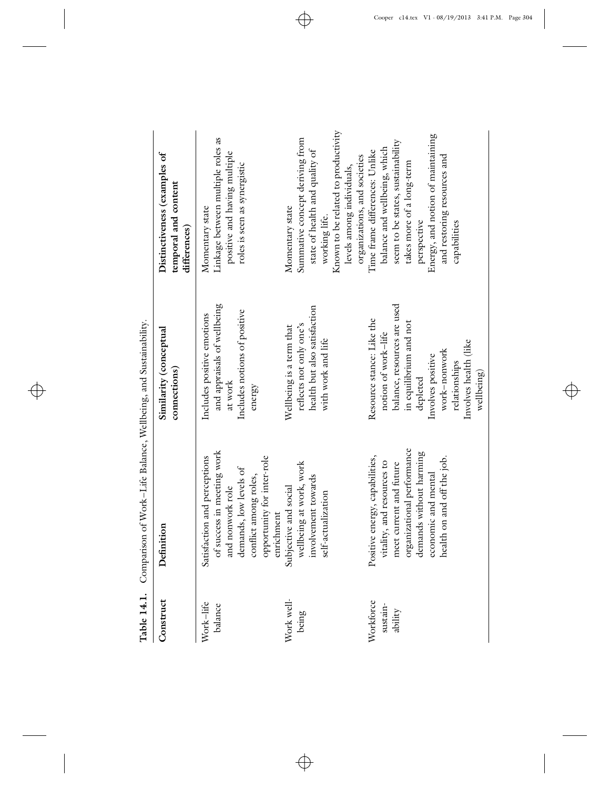Table 14.1. Comparison of Work-Life Balance, Wellbeing, and Sustainability. **Table 14.1.** Comparison of Work–Life Balance, Wellbeing, and Sustainability.

 $\bigoplus$ 

| Construct                        | Definition                                                                                                                                                                                            | Similarity (conceptual<br>connections)                                                                                                                                                                             | Distinctiveness (examples of<br>temporal and content<br>differences)                                                                                                                                                                |
|----------------------------------|-------------------------------------------------------------------------------------------------------------------------------------------------------------------------------------------------------|--------------------------------------------------------------------------------------------------------------------------------------------------------------------------------------------------------------------|-------------------------------------------------------------------------------------------------------------------------------------------------------------------------------------------------------------------------------------|
| Work-life<br>balance             | of success in meeting work<br>Satisfaction and perceptions<br>opportunity for inter-role<br>demands, low levels of<br>conflict among roles,<br>and nonwork role<br>enrichment                         | and appraisals of wellbeing<br>Includes notions of positive<br>Includes positive emotions<br>at work<br>energy                                                                                                     | Linkage between multiple roles as<br>positive and having multiple<br>roles is seen as synergistic<br>Momentary state                                                                                                                |
| Work well-<br>being              | wellbeing at work, work<br>involvement towards<br>Subjective and social<br>self-actualization                                                                                                         | health but also satisfaction<br>reflects not only one's<br>Wellbeing is a term that<br>with work and life                                                                                                          | Known to be related to productivity<br>Summative concept deriving from<br>state of health and quality of<br>organizations, and societies<br>levels among individuals,<br>Momentary state<br>working life.                           |
| Workforce<br>sustain-<br>ability | organizational performance<br>demands without harming<br>Positive energy, capabilities,<br>health on and off the job.<br>vitality, and resources to<br>meet current and future<br>economic and mental | balance, resources are used<br>Resource stance: Like the<br>in equilibrium and not<br>notion of work-life<br>Involves health (like<br>work-nonwork<br>Involves positive<br>relationships<br>wellbeing)<br>depleted | Energy, and notion of maintaining<br>seem to be states, sustainability<br>balance and wellbeing, which<br>Time frame differences: Unlike<br>and restoring resources and<br>takes more of a long-term<br>perspective<br>capabilities |

 $\bigoplus$ 

 $\bigoplus$ 

 $\bigoplus$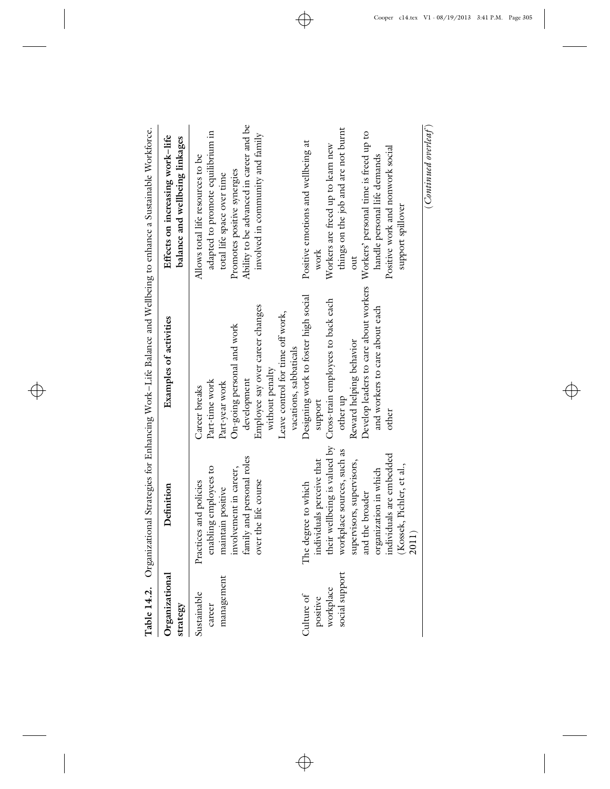Table 14.2. Organizational Strategies for Enhancing Work-Life Balance and Wellbeing to enhance a Sustainable Workforce. **Table 14.2.** Organizational Strategies for Enhancing Work–Life Balance and Wellbeing to enhance a Sustainable Workforce.

 $\bigoplus$ 

| Organizational<br>strategy                            | Definition                                                                                                                                                                                                                                                | Examples of activities                                                                                                                                                                                                                                 | Effects on increasing work-life<br>balance and wellbeing linkages                                                                                                                                                                       |
|-------------------------------------------------------|-----------------------------------------------------------------------------------------------------------------------------------------------------------------------------------------------------------------------------------------------------------|--------------------------------------------------------------------------------------------------------------------------------------------------------------------------------------------------------------------------------------------------------|-----------------------------------------------------------------------------------------------------------------------------------------------------------------------------------------------------------------------------------------|
| management<br>Sustainable<br>career                   | family and personal roles<br>enabling employees to<br>involvement in career,<br>over the life course<br>Practices and policies<br>maintain positive                                                                                                       | Employee say over career changes<br>Leave control for time off work,<br>On-going personal and work<br>vacations, sabbaticals<br>without penalty<br>development<br>Part-time work<br>Part-year work<br>Career breaks                                    | Ability to be advanced in career and be<br>adapted to promote equilibrium in<br>involved in community and family<br>Allows total life resources to be<br>Promotes positive synergies<br>total life space over time                      |
| social support<br>positive<br>workplace<br>Culture of | their wellbeing is valued by<br>workplace sources, such as<br>individuals are embedded<br>individuals perceive that<br>supervisors, supervisors,<br>(Kossek, Pichler, et al.,<br>organization in which<br>The degree to which<br>and the broader<br>2011) | Develop leaders to care about workers Workers' personal time is freed up to<br>Designing work to foster high social<br>Cross-train employees to back each<br>and workers to care about each<br>Reward helping behavior<br>other up<br>support<br>other | $\overline{C}$<br>things on the job and are not burnt<br>Positive emotions and wellbeing at<br>Workers are freed up to learn new<br>Positive work and nonwork social<br>handle personal life demands<br>support spillover<br>work<br>uц |

 $\bigoplus$ 

 $\bigoplus$ 

 $(Continued\; overlap)$ (*Continued overleaf* )

 $\bigoplus$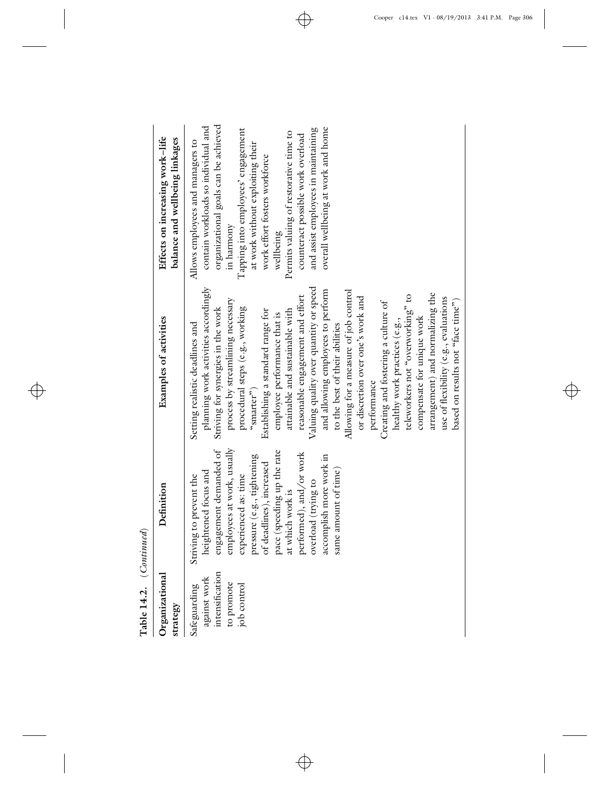Table 14.2. (Continued) **Table 14.2.** (*Continued*)

 $\bigoplus$ 

| Organizational<br>strategy                                                   | Definition                                                                                                                                                                                                                                                                                                                                       | Examples of activities                                                                                                                                                                                                                                                                                                                                                                                                                                                                                                                                                                                                                                                                                                                                                                                                   | Effects on increasing work-life<br>balance and wellbeing linkages                                                                                                                                                                                                                                                                                                                                                 |
|------------------------------------------------------------------------------|--------------------------------------------------------------------------------------------------------------------------------------------------------------------------------------------------------------------------------------------------------------------------------------------------------------------------------------------------|--------------------------------------------------------------------------------------------------------------------------------------------------------------------------------------------------------------------------------------------------------------------------------------------------------------------------------------------------------------------------------------------------------------------------------------------------------------------------------------------------------------------------------------------------------------------------------------------------------------------------------------------------------------------------------------------------------------------------------------------------------------------------------------------------------------------------|-------------------------------------------------------------------------------------------------------------------------------------------------------------------------------------------------------------------------------------------------------------------------------------------------------------------------------------------------------------------------------------------------------------------|
| intensification<br>against work<br>to promote<br>job control<br>Safeguarding | employees at work, usually<br>engagement demanded of<br>pace (speeding up the rate<br>performed), and/or work<br>pressure (e.g., tightening<br>accomplish more work in<br>of deadlines), increased<br>same amount of time)<br>heightened focus and<br>Striving to prevent the<br>experienced as: time<br>overload (trying to<br>at which work is | planning work activities accordingly<br>Valuing quality over quantity or speed<br>and allowing employees to perform<br>Allowing for a measure of job control<br>arrangement) and normalizing the<br>reasonable engagement and effort<br>teleworkers not "overworking" to<br>or discretion over one's work and<br>use of flexibility (e.g., evaluations<br>process by streamlining necessary<br>Creating and fostering a culture of<br>based on results not "face time"<br>procedural steps (e.g., working<br>Striving for synergies in the work<br>attainable and sustainable with<br>Establishing a standard range for<br>employee performance that is<br>compensate for unique work<br>healthy work practices (e.g.,<br>to the best of their abilities<br>Setting realistic deadlines and<br>performance<br>"smarter") | organizational goals can be achieved<br>contain workloads so individual and<br>overall wellbeing at work and home<br>Tapping into employees' engagement<br>and assist employees in maintaining<br>Permits valuing of restorative time to<br>counteract possible work overload<br>Allows employees and managers to<br>at work without exploiting their<br>work effort fosters workforce<br>in harmony<br>wellbeing |

 $\bigoplus$ 

 $\bigoplus$ 

 $\bigoplus$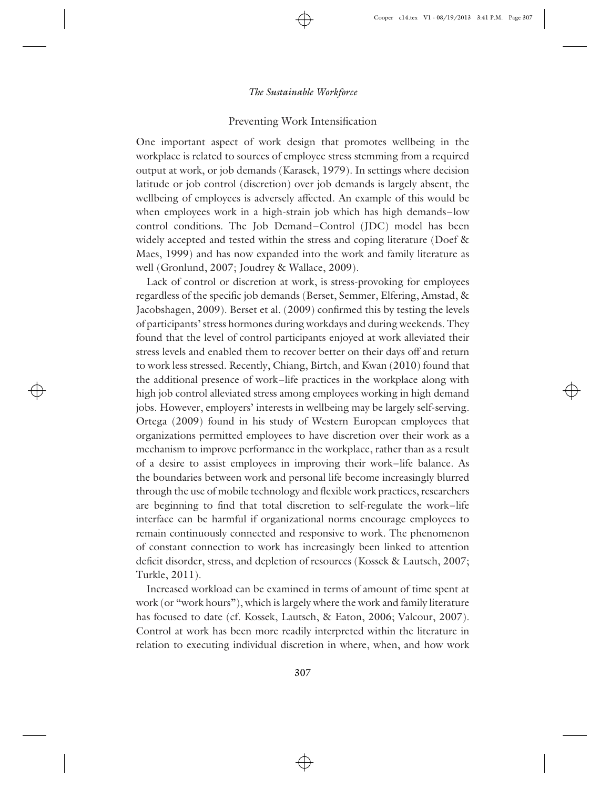## Preventing Work Intensification

One important aspect of work design that promotes wellbeing in the workplace is related to sources of employee stress stemming from a required output at work, or job demands (Karasek, 1979). In settings where decision latitude or job control (discretion) over job demands is largely absent, the wellbeing of employees is adversely affected. An example of this would be when employees work in a high-strain job which has high demands–low control conditions. The Job Demand–Control (JDC) model has been widely accepted and tested within the stress and coping literature (Doef & Maes, 1999) and has now expanded into the work and family literature as well (Gronlund, 2007; Joudrey & Wallace, 2009).

Lack of control or discretion at work, is stress-provoking for employees regardless of the specific job demands (Berset, Semmer, Elfering, Amstad, & Jacobshagen, 2009). Berset et al. (2009) confirmed this by testing the levels of participants' stress hormones during workdays and during weekends. They found that the level of control participants enjoyed at work alleviated their stress levels and enabled them to recover better on their days off and return to work less stressed. Recently, Chiang, Birtch, and Kwan (2010) found that the additional presence of work–life practices in the workplace along with high job control alleviated stress among employees working in high demand jobs. However, employers' interests in wellbeing may be largely self-serving. Ortega (2009) found in his study of Western European employees that organizations permitted employees to have discretion over their work as a mechanism to improve performance in the workplace, rather than as a result of a desire to assist employees in improving their work–life balance. As the boundaries between work and personal life become increasingly blurred through the use of mobile technology and flexible work practices, researchers are beginning to find that total discretion to self-regulate the work–life interface can be harmful if organizational norms encourage employees to remain continuously connected and responsive to work. The phenomenon of constant connection to work has increasingly been linked to attention deficit disorder, stress, and depletion of resources (Kossek & Lautsch, 2007; Turkle, 2011).

Increased workload can be examined in terms of amount of time spent at work (or "work hours"), which is largely where the work and family literature has focused to date (cf. Kossek, Lautsch, & Eaton, 2006; Valcour, 2007). Control at work has been more readily interpreted within the literature in relation to executing individual discretion in where, when, and how work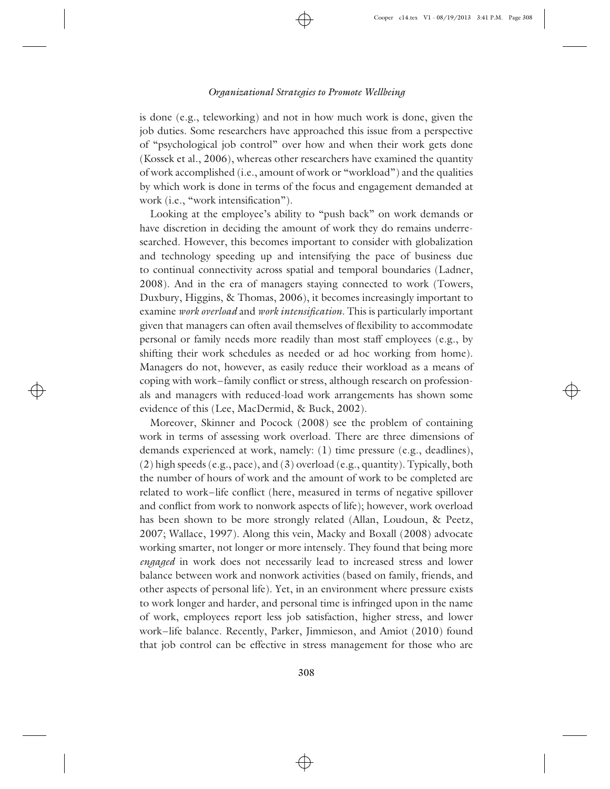is done (e.g., teleworking) and not in how much work is done, given the job duties. Some researchers have approached this issue from a perspective of "psychological job control" over how and when their work gets done (Kossek et al., 2006), whereas other researchers have examined the quantity of work accomplished (i.e., amount of work or "workload") and the qualities by which work is done in terms of the focus and engagement demanded at work (i.e., "work intensification").

Looking at the employee's ability to "push back" on work demands or have discretion in deciding the amount of work they do remains underresearched. However, this becomes important to consider with globalization and technology speeding up and intensifying the pace of business due to continual connectivity across spatial and temporal boundaries (Ladner, 2008). And in the era of managers staying connected to work (Towers, Duxbury, Higgins, & Thomas, 2006), it becomes increasingly important to examine *work overload* and *work intensification*. This is particularly important given that managers can often avail themselves of flexibility to accommodate personal or family needs more readily than most staff employees (e.g., by shifting their work schedules as needed or ad hoc working from home). Managers do not, however, as easily reduce their workload as a means of coping with work– family conflict or stress, although research on professionals and managers with reduced-load work arrangements has shown some evidence of this (Lee, MacDermid, & Buck, 2002).

Moreover, Skinner and Pocock (2008) see the problem of containing work in terms of assessing work overload. There are three dimensions of demands experienced at work, namely: (1) time pressure (e.g., deadlines), (2) high speeds (e.g., pace), and (3) overload (e.g., quantity). Typically, both the number of hours of work and the amount of work to be completed are related to work–life conflict (here, measured in terms of negative spillover and conflict from work to nonwork aspects of life); however, work overload has been shown to be more strongly related (Allan, Loudoun, & Peetz, 2007; Wallace, 1997). Along this vein, Macky and Boxall (2008) advocate working smarter, not longer or more intensely. They found that being more *engaged* in work does not necessarily lead to increased stress and lower balance between work and nonwork activities (based on family, friends, and other aspects of personal life). Yet, in an environment where pressure exists to work longer and harder, and personal time is infringed upon in the name of work, employees report less job satisfaction, higher stress, and lower work–life balance. Recently, Parker, Jimmieson, and Amiot (2010) found that job control can be effective in stress management for those who are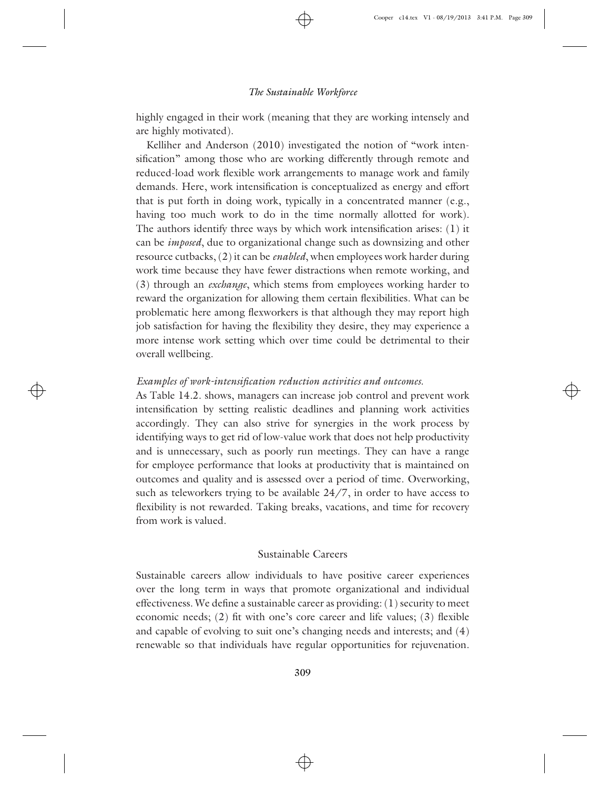highly engaged in their work (meaning that they are working intensely and are highly motivated).

Kelliher and Anderson (2010) investigated the notion of "work intensification" among those who are working differently through remote and reduced-load work flexible work arrangements to manage work and family demands. Here, work intensification is conceptualized as energy and effort that is put forth in doing work, typically in a concentrated manner (e.g., having too much work to do in the time normally allotted for work). The authors identify three ways by which work intensification arises: (1) it can be *imposed*, due to organizational change such as downsizing and other resource cutbacks, (2) it can be *enabled*, when employees work harder during work time because they have fewer distractions when remote working, and (3) through an *exchange*, which stems from employees working harder to reward the organization for allowing them certain flexibilities. What can be problematic here among flexworkers is that although they may report high job satisfaction for having the flexibility they desire, they may experience a more intense work setting which over time could be detrimental to their overall wellbeing.

#### *Examples of work-intensification reduction activities and outcomes.*

As Table 14.2. shows, managers can increase job control and prevent work intensification by setting realistic deadlines and planning work activities accordingly. They can also strive for synergies in the work process by identifying ways to get rid of low-value work that does not help productivity and is unnecessary, such as poorly run meetings. They can have a range for employee performance that looks at productivity that is maintained on outcomes and quality and is assessed over a period of time. Overworking, such as teleworkers trying to be available 24/7, in order to have access to flexibility is not rewarded. Taking breaks, vacations, and time for recovery from work is valued.

#### Sustainable Careers

Sustainable careers allow individuals to have positive career experiences over the long term in ways that promote organizational and individual effectiveness. We define a sustainable career as providing: (1) security to meet economic needs; (2) fit with one's core career and life values; (3) flexible and capable of evolving to suit one's changing needs and interests; and (4) renewable so that individuals have regular opportunities for rejuvenation.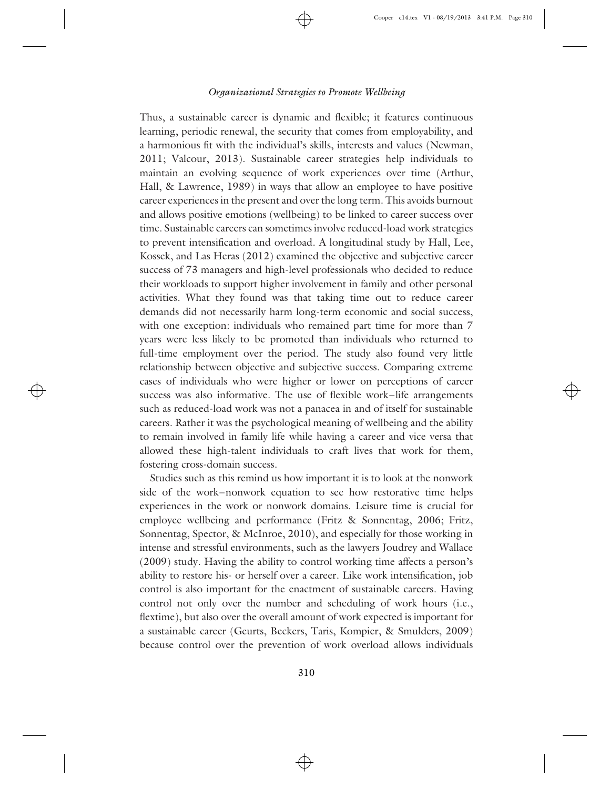Thus, a sustainable career is dynamic and flexible; it features continuous learning, periodic renewal, the security that comes from employability, and a harmonious fit with the individual's skills, interests and values (Newman, 2011; Valcour, 2013). Sustainable career strategies help individuals to maintain an evolving sequence of work experiences over time (Arthur, Hall, & Lawrence, 1989) in ways that allow an employee to have positive career experiences in the present and over the long term. This avoids burnout and allows positive emotions (wellbeing) to be linked to career success over time. Sustainable careers can sometimes involve reduced-load work strategies to prevent intensification and overload. A longitudinal study by Hall, Lee, Kossek, and Las Heras (2012) examined the objective and subjective career success of 73 managers and high-level professionals who decided to reduce their workloads to support higher involvement in family and other personal activities. What they found was that taking time out to reduce career demands did not necessarily harm long-term economic and social success, with one exception: individuals who remained part time for more than 7 years were less likely to be promoted than individuals who returned to full-time employment over the period. The study also found very little relationship between objective and subjective success. Comparing extreme cases of individuals who were higher or lower on perceptions of career success was also informative. The use of flexible work–life arrangements such as reduced-load work was not a panacea in and of itself for sustainable careers. Rather it was the psychological meaning of wellbeing and the ability to remain involved in family life while having a career and vice versa that allowed these high-talent individuals to craft lives that work for them, fostering cross-domain success.

Studies such as this remind us how important it is to look at the nonwork side of the work–nonwork equation to see how restorative time helps experiences in the work or nonwork domains. Leisure time is crucial for employee wellbeing and performance (Fritz & Sonnentag, 2006; Fritz, Sonnentag, Spector, & McInroe, 2010), and especially for those working in intense and stressful environments, such as the lawyers Joudrey and Wallace (2009) study. Having the ability to control working time affects a person's ability to restore his- or herself over a career. Like work intensification, job control is also important for the enactment of sustainable careers. Having control not only over the number and scheduling of work hours (i.e., flextime), but also over the overall amount of work expected is important for a sustainable career (Geurts, Beckers, Taris, Kompier, & Smulders, 2009) because control over the prevention of work overload allows individuals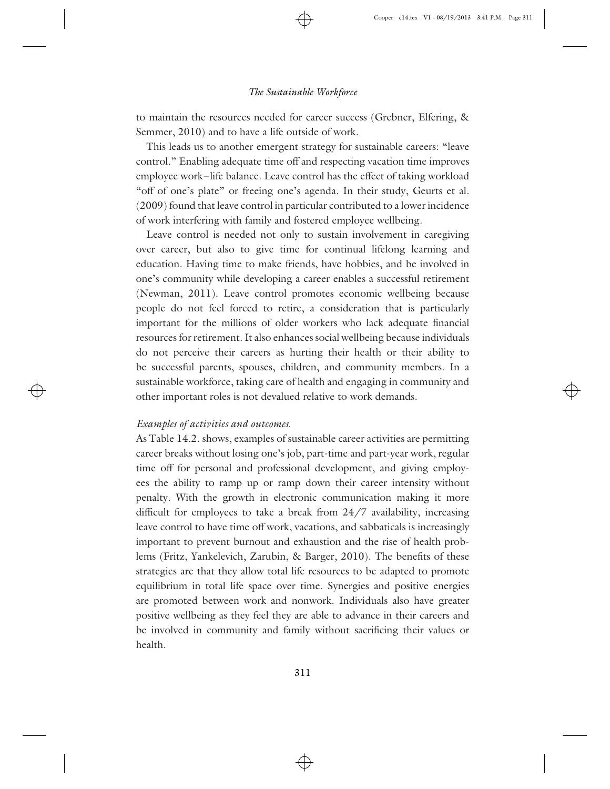to maintain the resources needed for career success (Grebner, Elfering, & Semmer, 2010) and to have a life outside of work.

This leads us to another emergent strategy for sustainable careers: "leave control." Enabling adequate time off and respecting vacation time improves employee work–life balance. Leave control has the effect of taking workload "off of one's plate" or freeing one's agenda. In their study, Geurts et al. (2009) found that leave control in particular contributed to a lower incidence of work interfering with family and fostered employee wellbeing.

Leave control is needed not only to sustain involvement in caregiving over career, but also to give time for continual lifelong learning and education. Having time to make friends, have hobbies, and be involved in one's community while developing a career enables a successful retirement (Newman, 2011). Leave control promotes economic wellbeing because people do not feel forced to retire, a consideration that is particularly important for the millions of older workers who lack adequate financial resources for retirement. It also enhances social wellbeing because individuals do not perceive their careers as hurting their health or their ability to be successful parents, spouses, children, and community members. In a sustainable workforce, taking care of health and engaging in community and other important roles is not devalued relative to work demands.

### *Examples of activities and outcomes.*

As Table 14.2. shows, examples of sustainable career activities are permitting career breaks without losing one's job, part-time and part-year work, regular time off for personal and professional development, and giving employees the ability to ramp up or ramp down their career intensity without penalty. With the growth in electronic communication making it more difficult for employees to take a break from 24/7 availability, increasing leave control to have time off work, vacations, and sabbaticals is increasingly important to prevent burnout and exhaustion and the rise of health problems (Fritz, Yankelevich, Zarubin, & Barger, 2010). The benefits of these strategies are that they allow total life resources to be adapted to promote equilibrium in total life space over time. Synergies and positive energies are promoted between work and nonwork. Individuals also have greater positive wellbeing as they feel they are able to advance in their careers and be involved in community and family without sacrificing their values or health.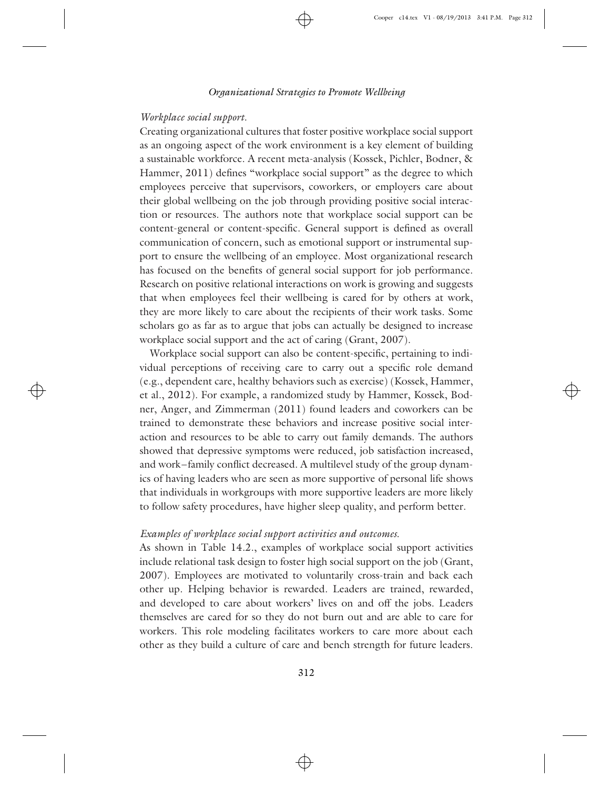#### *Workplace social support.*

Creating organizational cultures that foster positive workplace social support as an ongoing aspect of the work environment is a key element of building a sustainable workforce. A recent meta-analysis (Kossek, Pichler, Bodner, & Hammer, 2011) defines "workplace social support" as the degree to which employees perceive that supervisors, coworkers, or employers care about their global wellbeing on the job through providing positive social interaction or resources. The authors note that workplace social support can be content-general or content-specific. General support is defined as overall communication of concern, such as emotional support or instrumental support to ensure the wellbeing of an employee. Most organizational research has focused on the benefits of general social support for job performance. Research on positive relational interactions on work is growing and suggests that when employees feel their wellbeing is cared for by others at work, they are more likely to care about the recipients of their work tasks. Some scholars go as far as to argue that jobs can actually be designed to increase workplace social support and the act of caring (Grant, 2007).

Workplace social support can also be content-specific, pertaining to individual perceptions of receiving care to carry out a specific role demand (e.g., dependent care, healthy behaviors such as exercise) (Kossek, Hammer, et al., 2012). For example, a randomized study by Hammer, Kossek, Bodner, Anger, and Zimmerman (2011) found leaders and coworkers can be trained to demonstrate these behaviors and increase positive social interaction and resources to be able to carry out family demands. The authors showed that depressive symptoms were reduced, job satisfaction increased, and work–family conflict decreased. A multilevel study of the group dynamics of having leaders who are seen as more supportive of personal life shows that individuals in workgroups with more supportive leaders are more likely to follow safety procedures, have higher sleep quality, and perform better.

#### *Examples of workplace social support activities and outcomes.*

As shown in Table 14.2., examples of workplace social support activities include relational task design to foster high social support on the job (Grant, 2007). Employees are motivated to voluntarily cross-train and back each other up. Helping behavior is rewarded. Leaders are trained, rewarded, and developed to care about workers' lives on and off the jobs. Leaders themselves are cared for so they do not burn out and are able to care for workers. This role modeling facilitates workers to care more about each other as they build a culture of care and bench strength for future leaders.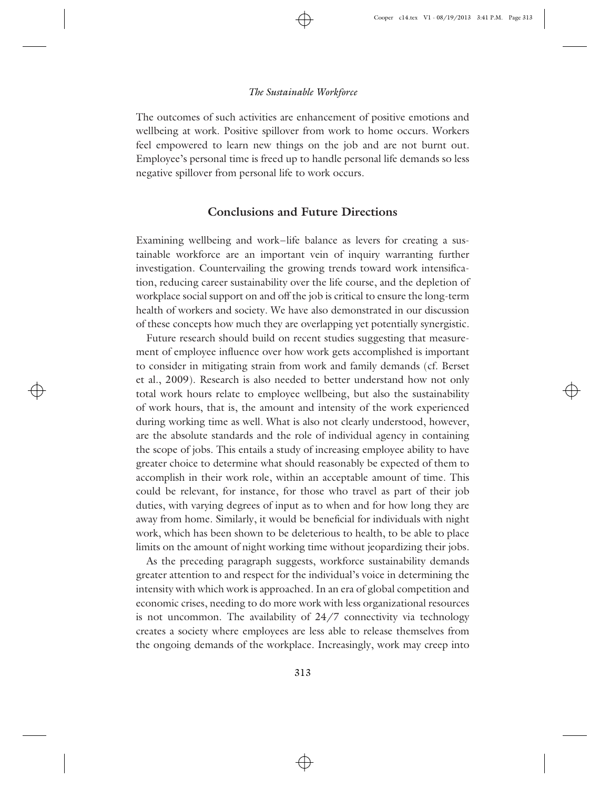The outcomes of such activities are enhancement of positive emotions and wellbeing at work. Positive spillover from work to home occurs. Workers feel empowered to learn new things on the job and are not burnt out. Employee's personal time is freed up to handle personal life demands so less negative spillover from personal life to work occurs.

### **Conclusions and Future Directions**

Examining wellbeing and work–life balance as levers for creating a sustainable workforce are an important vein of inquiry warranting further investigation. Countervailing the growing trends toward work intensification, reducing career sustainability over the life course, and the depletion of workplace social support on and off the job is critical to ensure the long-term health of workers and society. We have also demonstrated in our discussion of these concepts how much they are overlapping yet potentially synergistic.

Future research should build on recent studies suggesting that measurement of employee influence over how work gets accomplished is important to consider in mitigating strain from work and family demands (cf. Berset et al., 2009). Research is also needed to better understand how not only total work hours relate to employee wellbeing, but also the sustainability of work hours, that is, the amount and intensity of the work experienced during working time as well. What is also not clearly understood, however, are the absolute standards and the role of individual agency in containing the scope of jobs. This entails a study of increasing employee ability to have greater choice to determine what should reasonably be expected of them to accomplish in their work role, within an acceptable amount of time. This could be relevant, for instance, for those who travel as part of their job duties, with varying degrees of input as to when and for how long they are away from home. Similarly, it would be beneficial for individuals with night work, which has been shown to be deleterious to health, to be able to place limits on the amount of night working time without jeopardizing their jobs.

As the preceding paragraph suggests, workforce sustainability demands greater attention to and respect for the individual's voice in determining the intensity with which work is approached. In an era of global competition and economic crises, needing to do more work with less organizational resources is not uncommon. The availability of  $24/7$  connectivity via technology creates a society where employees are less able to release themselves from the ongoing demands of the workplace. Increasingly, work may creep into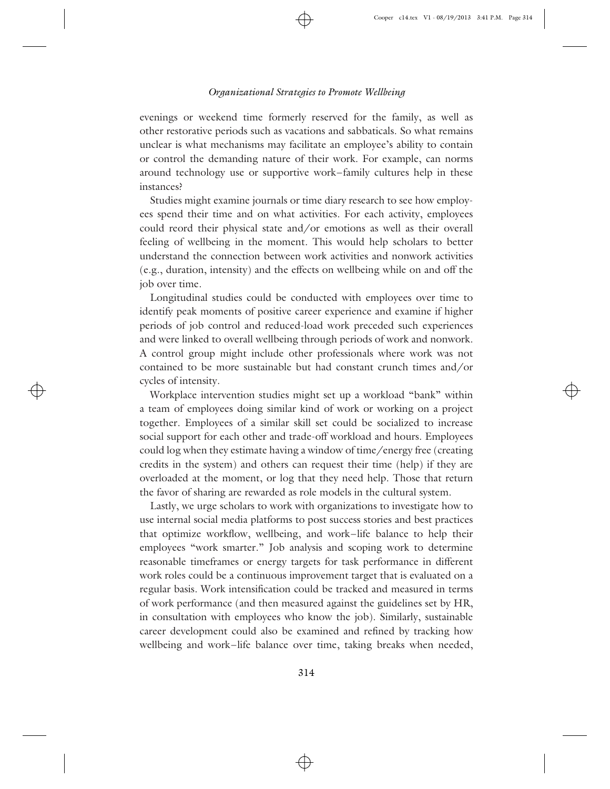evenings or weekend time formerly reserved for the family, as well as other restorative periods such as vacations and sabbaticals. So what remains unclear is what mechanisms may facilitate an employee's ability to contain or control the demanding nature of their work. For example, can norms around technology use or supportive work– family cultures help in these instances?

Studies might examine journals or time diary research to see how employees spend their time and on what activities. For each activity, employees could reord their physical state and/or emotions as well as their overall feeling of wellbeing in the moment. This would help scholars to better understand the connection between work activities and nonwork activities (e.g., duration, intensity) and the effects on wellbeing while on and off the job over time.

Longitudinal studies could be conducted with employees over time to identify peak moments of positive career experience and examine if higher periods of job control and reduced-load work preceded such experiences and were linked to overall wellbeing through periods of work and nonwork. A control group might include other professionals where work was not contained to be more sustainable but had constant crunch times and/or cycles of intensity.

Workplace intervention studies might set up a workload "bank" within a team of employees doing similar kind of work or working on a project together. Employees of a similar skill set could be socialized to increase social support for each other and trade-off workload and hours. Employees could log when they estimate having a window of time/energy free (creating credits in the system) and others can request their time (help) if they are overloaded at the moment, or log that they need help. Those that return the favor of sharing are rewarded as role models in the cultural system.

Lastly, we urge scholars to work with organizations to investigate how to use internal social media platforms to post success stories and best practices that optimize workflow, wellbeing, and work–life balance to help their employees "work smarter." Job analysis and scoping work to determine reasonable timeframes or energy targets for task performance in different work roles could be a continuous improvement target that is evaluated on a regular basis. Work intensification could be tracked and measured in terms of work performance (and then measured against the guidelines set by HR, in consultation with employees who know the job). Similarly, sustainable career development could also be examined and refined by tracking how wellbeing and work–life balance over time, taking breaks when needed,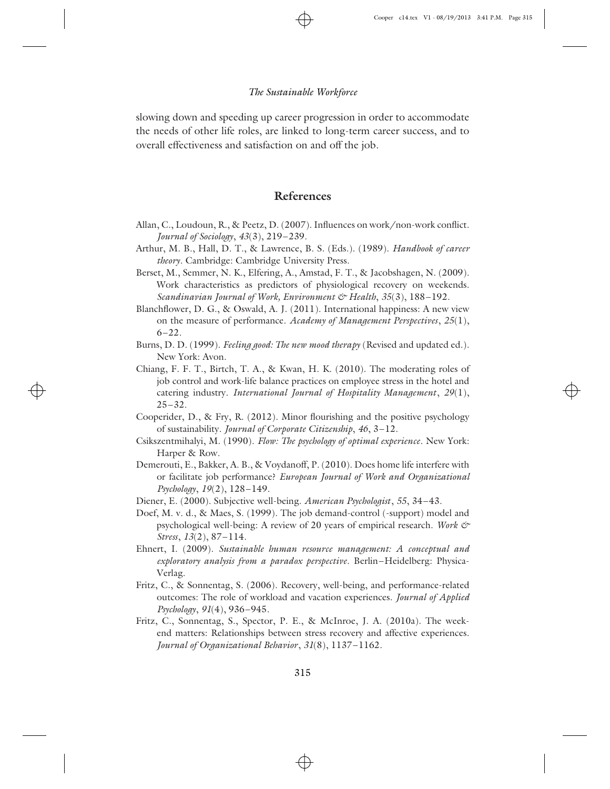slowing down and speeding up career progression in order to accommodate the needs of other life roles, are linked to long-term career success, and to overall effectiveness and satisfaction on and off the job.

## **References**

- Allan, C., Loudoun, R., & Peetz, D. (2007). Influences on work/non-work conflict. *Journal of Sociology*, *43*(3), 219–239.
- Arthur, M. B., Hall, D. T., & Lawrence, B. S. (Eds.). (1989). *Handbook of career theory*. Cambridge: Cambridge University Press.
- Berset, M., Semmer, N. K., Elfering, A., Amstad, F. T., & Jacobshagen, N. (2009). Work characteristics as predictors of physiological recovery on weekends. *Scandinavian Journal of Work, Environment & Health*, *35*(3), 188–192.
- Blanchflower, D. G., & Oswald, A. J. (2011). International happiness: A new view on the measure of performance. *Academy of Management Perspectives*, *25*(1), 6–22.
- Burns, D. D. (1999). *Feeling good: The new mood therapy* (Revised and updated ed.). New York: Avon.
- Chiang, F. F. T., Birtch, T. A., & Kwan, H. K. (2010). The moderating roles of job control and work-life balance practices on employee stress in the hotel and catering industry. *International Journal of Hospitality Management*, *29*(1), 25–32.
- Cooperider, D., & Fry, R. (2012). Minor flourishing and the positive psychology of sustainability. *Journal of Corporate Citizenship*, *46*, 3–12.
- Csikszentmihalyi, M. (1990). *Flow: The psychology of optimal experience*. New York: Harper & Row.
- Demerouti, E., Bakker, A. B., & Voydanoff, P. (2010). Does home life interfere with or facilitate job performance? *European Journal of Work and Organizational Psychology*, *19*(2), 128–149.
- Diener, E. (2000). Subjective well-being. *American Psychologist*, *55*, 34–43.
- Doef, M. v. d., & Maes, S. (1999). The job demand-control (-support) model and psychological well-being: A review of 20 years of empirical research. *Work & Stress*, *13*(2), 87–114.
- Ehnert, I. (2009). *Sustainable human resource management: A conceptual and exploratory analysis from a paradox perspective*. Berlin–Heidelberg: Physica-Verlag.
- Fritz, C., & Sonnentag, S. (2006). Recovery, well-being, and performance-related outcomes: The role of workload and vacation experiences. *Journal of Applied Psychology*, *91*(4), 936–945.
- Fritz, C., Sonnentag, S., Spector, P. E., & McInroe, J. A. (2010a). The weekend matters: Relationships between stress recovery and affective experiences. *Journal of Organizational Behavior*, *31*(8), 1137–1162.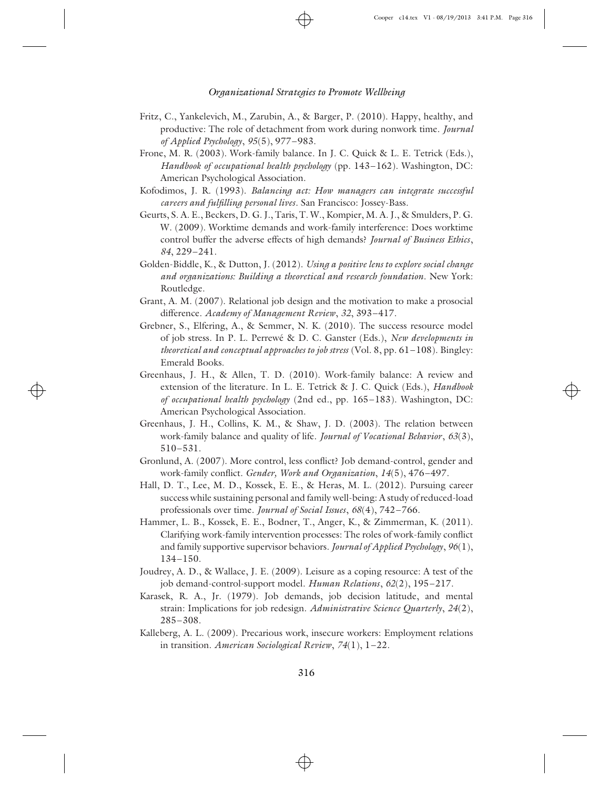- Fritz, C., Yankelevich, M., Zarubin, A., & Barger, P. (2010). Happy, healthy, and productive: The role of detachment from work during nonwork time. *Journal of Applied Psychology*, *95*(5), 977–983.
- Frone, M. R. (2003). Work-family balance. In J. C. Quick & L. E. Tetrick (Eds.), *Handbook of occupational health psychology* (pp. 143–162). Washington, DC: American Psychological Association.
- Kofodimos, J. R. (1993). *Balancing act: How managers can integrate successful careers and fulfilling personal lives*. San Francisco: Jossey-Bass.
- Geurts, S. A. E., Beckers, D. G. J., Taris, T. W., Kompier, M. A. J., & Smulders, P. G. W. (2009). Worktime demands and work-family interference: Does worktime control buffer the adverse effects of high demands? *Journal of Business Ethics*, *84*, 229–241.
- Golden-Biddle, K., & Dutton, J. (2012). *Using a positive lens to explore social change and organizations: Building a theoretical and research foundation*. New York: Routledge.
- Grant, A. M. (2007). Relational job design and the motivation to make a prosocial difference. *Academy of Management Review*, *32*, 393–417.
- Grebner, S., Elfering, A., & Semmer, N. K. (2010). The success resource model of job stress. In P. L. Perrewé & D. C. Ganster (Eds.), *New developments in theoretical and conceptual approaches to job stress* (Vol. 8, pp. 61–108). Bingley: Emerald Books.
- Greenhaus, J. H., & Allen, T. D. (2010). Work-family balance: A review and extension of the literature. In L. E. Tetrick & J. C. Quick (Eds.), *Handbook of occupational health psychology* (2nd ed., pp. 165–183). Washington, DC: American Psychological Association.
- Greenhaus, J. H., Collins, K. M., & Shaw, J. D. (2003). The relation between work-family balance and quality of life. *Journal of Vocational Behavior*, *63*(3), 510–531.
- Gronlund, A. (2007). More control, less conflict? Job demand-control, gender and work-family conflict. *Gender, Work and Organization*, *14*(5), 476–497.
- Hall, D. T., Lee, M. D., Kossek, E. E., & Heras, M. L. (2012). Pursuing career success while sustaining personal and family well-being: A study of reduced-load professionals over time. *Journal of Social Issues*, *68*(4), 742–766.
- Hammer, L. B., Kossek, E. E., Bodner, T., Anger, K., & Zimmerman, K. (2011). Clarifying work-family intervention processes: The roles of work-family conflict and family supportive supervisor behaviors. *Journal of Applied Psychology*, *96*(1), 134–150.
- Joudrey, A. D., & Wallace, J. E. (2009). Leisure as a coping resource: A test of the job demand-control-support model. *Human Relations*, *62*(2), 195–217.
- Karasek, R. A., Jr. (1979). Job demands, job decision latitude, and mental strain: Implications for job redesign. *Administrative Science Quarterly*, *24*(2), 285–308.
- Kalleberg, A. L. (2009). Precarious work, insecure workers: Employment relations in transition. *American Sociological Review*, *74*(1), 1–22.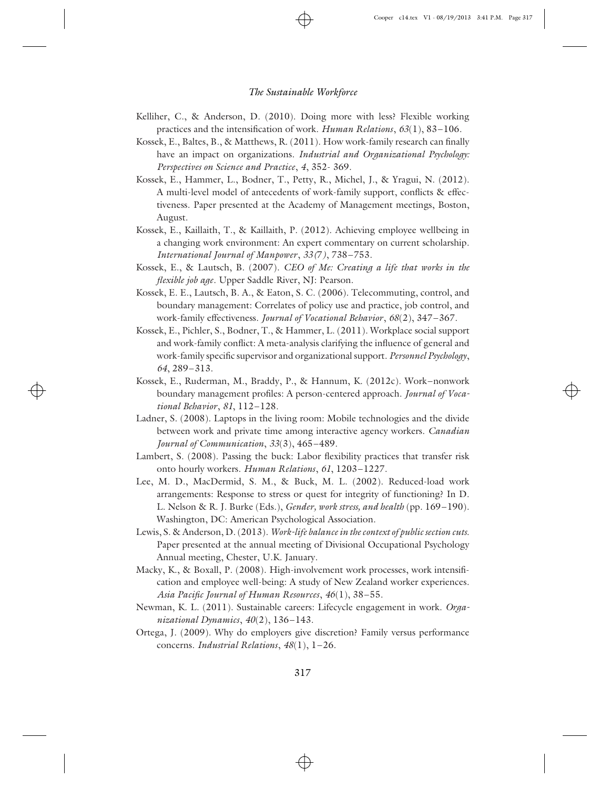- Kelliher, C., & Anderson, D. (2010). Doing more with less? Flexible working practices and the intensification of work. *Human Relations*, *63*(1), 83–106.
- Kossek, E., Baltes, B., & Matthews, R. (2011). How work-family research can finally have an impact on organizations. *Industrial and Organizational Psychology: Perspectives on Science and Practice*, *4*, 352- 369.
- Kossek, E., Hammer, L., Bodner, T., Petty, R., Michel, J., & Yragui, N. (2012). A multi-level model of antecedents of work-family support, conflicts & effectiveness. Paper presented at the Academy of Management meetings, Boston, August.
- Kossek, E., Kaillaith, T., & Kaillaith, P. (2012). Achieving employee wellbeing in a changing work environment: An expert commentary on current scholarship. *International Journal of Manpower*, *33(*7*)*, 738–753.
- Kossek, E., & Lautsch, B. (2007). *CEO of Me: Creating a life that works in the flexible job age*. Upper Saddle River, NJ: Pearson.
- Kossek, E. E., Lautsch, B. A., & Eaton, S. C. (2006). Telecommuting, control, and boundary management: Correlates of policy use and practice, job control, and work-family effectiveness. *Journal of Vocational Behavior*, *68*(2), 347–367.
- Kossek, E., Pichler, S., Bodner, T., & Hammer, L. (2011). Workplace social support and work-family conflict: A meta-analysis clarifying the influence of general and work-family specific supervisor and organizational support. *Personnel Psychology*, *64*, 289–313.
- Kossek, E., Ruderman, M., Braddy, P., & Hannum, K. (2012c). Work–nonwork boundary management profiles: A person-centered approach. *Journal of Vocational Behavior*, *81*, 112–128.
- Ladner, S. (2008). Laptops in the living room: Mobile technologies and the divide between work and private time among interactive agency workers. *Canadian Journal of Communication*, *33*(3), 465–489.
- Lambert, S. (2008). Passing the buck: Labor flexibility practices that transfer risk onto hourly workers. *Human Relations*, *61*, 1203–1227.
- Lee, M. D., MacDermid, S. M., & Buck, M. L. (2002). Reduced-load work arrangements: Response to stress or quest for integrity of functioning? In D. L. Nelson & R. J. Burke (Eds.), *Gender, work stress, and health* (pp. 169–190). Washington, DC: American Psychological Association.
- Lewis, S. & Anderson, D. (2013). *Work-life balance in the context of public section cuts*. Paper presented at the annual meeting of Divisional Occupational Psychology Annual meeting, Chester, U.K. January.
- Macky, K., & Boxall, P. (2008). High-involvement work processes, work intensification and employee well-being: A study of New Zealand worker experiences. *Asia Pacific Journal of Human Resources*, *46*(1), 38–55.
- Newman, K. L. (2011). Sustainable careers: Lifecycle engagement in work. *Organizational Dynamics*, *40*(2), 136–143.
- Ortega, J. (2009). Why do employers give discretion? Family versus performance concerns. *Industrial Relations*, *48*(1), 1–26.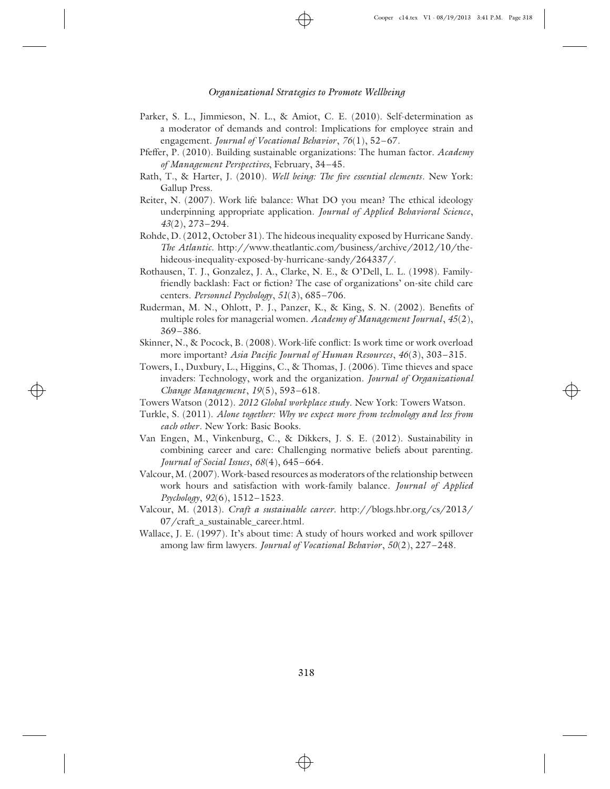- Parker, S. L., Jimmieson, N. L., & Amiot, C. E. (2010). Self-determination as a moderator of demands and control: Implications for employee strain and engagement. *Journal of Vocational Behavior*, *76*(1), 52–67.
- Pfeffer, P. (2010). Building sustainable organizations: The human factor. *Academy of Management Perspectives*, February, 34–45.
- Rath, T., & Harter, J. (2010). *Well being: The five essential elements*. New York: Gallup Press.
- Reiter, N. (2007). Work life balance: What DO you mean? The ethical ideology underpinning appropriate application. *Journal of Applied Behavioral Science*, *43*(2), 273–294.
- Rohde, D. (2012, October 31). The hideous inequality exposed by Hurricane Sandy. *The Atlantic*. http://www.theatlantic.com/business/archive/2012/10/thehideous-inequality-exposed-by-hurricane-sandy/264337/.
- Rothausen, T. J., Gonzalez, J. A., Clarke, N. E., & O'Dell, L. L. (1998). Familyfriendly backlash: Fact or fiction? The case of organizations' on-site child care centers. *Personnel Psychology*, *51*(3), 685–706.
- Ruderman, M. N., Ohlott, P. J., Panzer, K., & King, S. N. (2002). Benefits of multiple roles for managerial women. *Academy of Management Journal*, *45*(2), 369–386.
- Skinner, N., & Pocock, B. (2008). Work-life conflict: Is work time or work overload more important? *Asia Pacific Journal of Human Resources*, *46*(3), 303–315.
- Towers, I., Duxbury, L., Higgins, C., & Thomas, J. (2006). Time thieves and space invaders: Technology, work and the organization. *Journal of Organizational Change Management*, *19*(5), 593–618.

Towers Watson (2012). *2012 Global workplace study*. New York: Towers Watson.

- Turkle, S. (2011). *Alone together: Why we expect more from technology and less from each other*. New York: Basic Books.
- Van Engen, M., Vinkenburg, C., & Dikkers, J. S. E. (2012). Sustainability in combining career and care: Challenging normative beliefs about parenting. *Journal of Social Issues*, *68*(4), 645–664.
- Valcour, M. (2007). Work-based resources as moderators of the relationship between work hours and satisfaction with work-family balance. *Journal of Applied Psychology*, *92*(6), 1512–1523.
- Valcour, M. (2013). *Craft a sustainable career*. http://blogs.hbr.org/cs/2013/ 07/craft\_a\_sustainable\_career.html.
- Wallace, J. E. (1997). It's about time: A study of hours worked and work spillover among law firm lawyers. *Journal of Vocational Behavior*, *50*(2), 227–248.